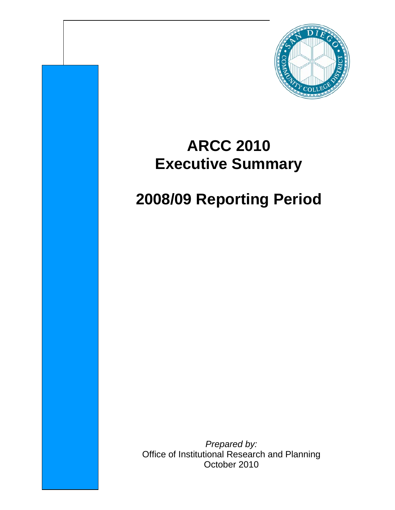

## **ARCC 2010 Executive Summary**

# **2008/09 Reporting Period**

*Prepared by:* Office of Institutional Research and Planning October 2010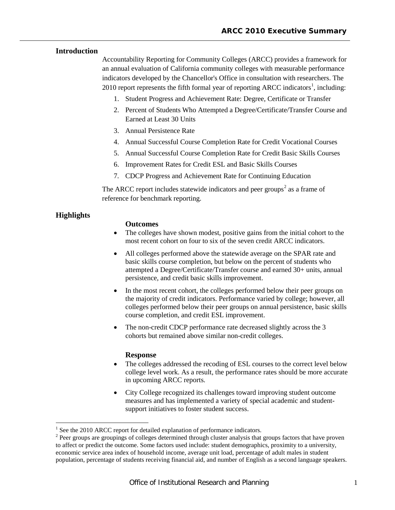### **Introduction**

Accountability Reporting for Community Colleges (ARCC) provides a framework for an annual evaluation of California community colleges with measurable performance indicators developed by the Chancellor's Office in consultation with researchers. The 20[1](#page-1-0)0 report represents the fifth formal year of reporting ARCC indicators<sup>1</sup>, including:

- 1. Student Progress and Achievement Rate: Degree, Certificate or Transfer
- 2. Percent of Students Who Attempted a Degree/Certificate/Transfer Course and Earned at Least 30 Units
- 3. Annual Persistence Rate
- 4. Annual Successful Course Completion Rate for Credit Vocational Courses
- 5. Annual Successful Course Completion Rate for Credit Basic Skills Courses
- 6. Improvement Rates for Credit ESL and Basic Skills Courses
- 7. CDCP Progress and Achievement Rate for Continuing Education

The ARCC report includes statewide indicators and peer groups<sup>[2](#page-1-1)</sup> as a frame of reference for benchmark reporting.

## **Highlights**

#### **Outcomes**

- The colleges have shown modest, positive gains from the initial cohort to the most recent cohort on four to six of the seven credit ARCC indicators.
- All colleges performed above the statewide average on the SPAR rate and basic skills course completion, but below on the percent of students who attempted a Degree/Certificate/Transfer course and earned 30+ units, annual persistence, and credit basic skills improvement.
- In the most recent cohort, the colleges performed below their peer groups on the majority of credit indicators. Performance varied by college; however, all colleges performed below their peer groups on annual persistence, basic skills course completion, and credit ESL improvement.
- The non-credit CDCP performance rate decreased slightly across the 3 cohorts but remained above similar non-credit colleges.

#### **Response**

- The colleges addressed the recoding of ESL courses to the correct level below college level work. As a result, the performance rates should be more accurate in upcoming ARCC reports.
- City College recognized its challenges toward improving student outcome measures and has implemented a variety of special academic and studentsupport initiatives to foster student success.

<span id="page-1-1"></span><span id="page-1-0"></span><sup>&</sup>lt;sup>1</sup> See the 2010 ARCC report for detailed explanation of performance indicators.<br><sup>2</sup> Peer groups are groupings of colleges determined through cluster analysis that groups factors that have proven to affect or predict the outcome. Some factors used include: student demographics, proximity to a university, economic service area index of household income, average unit load, percentage of adult males in student population, percentage of students receiving financial aid, and number of English as a second language speakers.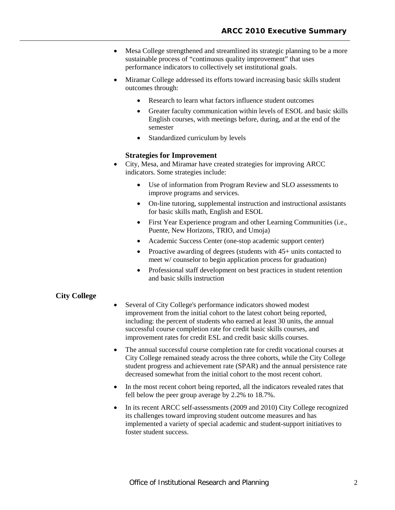- Mesa College strengthened and streamlined its strategic planning to be a more sustainable process of "continuous quality improvement" that uses performance indicators to collectively set institutional goals.
- Miramar College addressed its efforts toward increasing basic skills student outcomes through:
	- Research to learn what factors influence student outcomes
	- Greater faculty communication within levels of ESOL and basic skills English courses, with meetings before, during, and at the end of the semester
	- Standardized curriculum by levels

#### **Strategies for Improvement**

- City, Mesa, and Miramar have created strategies for improving ARCC indicators. Some strategies include:
	- Use of information from Program Review and SLO assessments to improve programs and services.
	- On-line tutoring, supplemental instruction and instructional assistants for basic skills math, English and ESOL
	- First Year Experience program and other Learning Communities (i.e., Puente, New Horizons, TRIO, and Umoja)
	- Academic Success Center (one-stop academic support center)
	- Proactive awarding of degrees (students with 45+ units contacted to meet w/ counselor to begin application process for graduation)
	- Professional staff development on best practices in student retention and basic skills instruction

#### **City College**

- Several of City College's performance indicators showed modest improvement from the initial cohort to the latest cohort being reported, including: the percent of students who earned at least 30 units, the annual successful course completion rate for credit basic skills courses, and improvement rates for credit ESL and credit basic skills courses.
- The annual successful course completion rate for credit vocational courses at City College remained steady across the three cohorts, while the City College student progress and achievement rate (SPAR) and the annual persistence rate decreased somewhat from the initial cohort to the most recent cohort.
- In the most recent cohort being reported, all the indicators revealed rates that fell below the peer group average by 2.2% to 18.7%.
- In its recent ARCC self-assessments (2009 and 2010) City College recognized its challenges toward improving student outcome measures and has implemented a variety of special academic and student-support initiatives to foster student success.